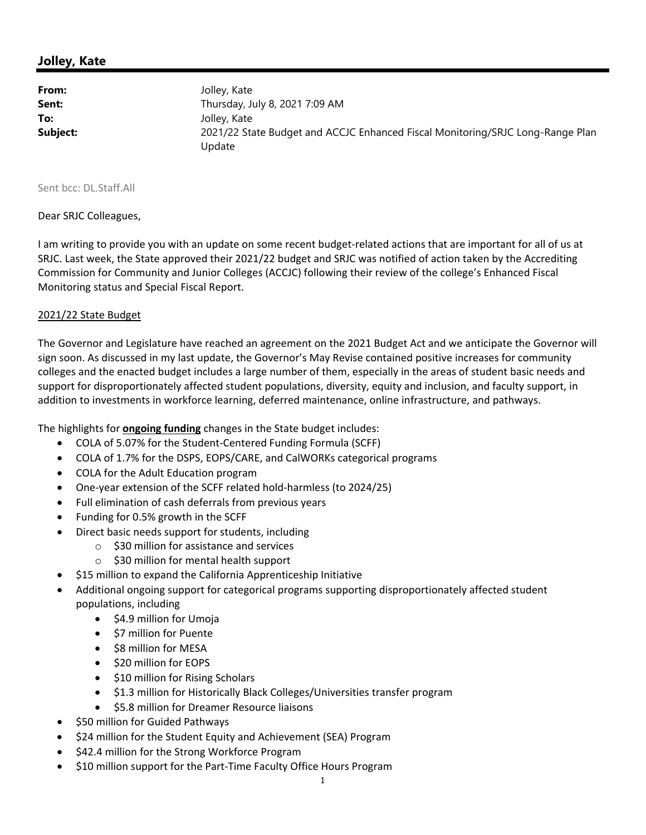## **Jolley, Kate**

| From:    | Jolley, Kate                                                                   |
|----------|--------------------------------------------------------------------------------|
| Sent:    | Thursday, July 8, 2021 7:09 AM                                                 |
| To:      | Jolley, Kate                                                                   |
| Subject: | 2021/22 State Budget and ACCJC Enhanced Fiscal Monitoring/SRJC Long-Range Plan |
|          | Update                                                                         |

Sent bcc: DL.Staff.All

Dear SRJC Colleagues,

I am writing to provide you with an update on some recent budget‐related actions that are important for all of us at SRJC. Last week, the State approved their 2021/22 budget and SRJC was notified of action taken by the Accrediting Commission for Community and Junior Colleges (ACCJC) following their review of the college's Enhanced Fiscal Monitoring status and Special Fiscal Report.

## 2021/22 State Budget

The Governor and Legislature have reached an agreement on the 2021 Budget Act and we anticipate the Governor will sign soon. As discussed in my last update, the Governor's May Revise contained positive increases for community colleges and the enacted budget includes a large number of them, especially in the areas of student basic needs and support for disproportionately affected student populations, diversity, equity and inclusion, and faculty support, in addition to investments in workforce learning, deferred maintenance, online infrastructure, and pathways.

The highlights for **ongoing funding** changes in the State budget includes:

- COLA of 5.07% for the Student-Centered Funding Formula (SCFF)
- COLA of 1.7% for the DSPS, EOPS/CARE, and CalWORKs categorical programs
- COLA for the Adult Education program
- One-year extension of the SCFF related hold-harmless (to 2024/25)
- Full elimination of cash deferrals from previous years
- Funding for 0.5% growth in the SCFF
- Direct basic needs support for students, including
	- o \$30 million for assistance and services
	- o \$30 million for mental health support
- \$15 million to expand the California Apprenticeship Initiative
- Additional ongoing support for categorical programs supporting disproportionately affected student populations, including
	- $\bullet$  \$4.9 million for Umoja
	- \$7 million for Puente
	- \$8 million for MESA
	- $\bullet$  \$20 million for EOPS
	- \$10 million for Rising Scholars
	- \$1.3 million for Historically Black Colleges/Universities transfer program
	- **S5.8 million for Dreamer Resource liaisons**
- \$50 million for Guided Pathways
- \$24 million for the Student Equity and Achievement (SEA) Program
- \$42.4 million for the Strong Workforce Program
- \$10 million support for the Part-Time Faculty Office Hours Program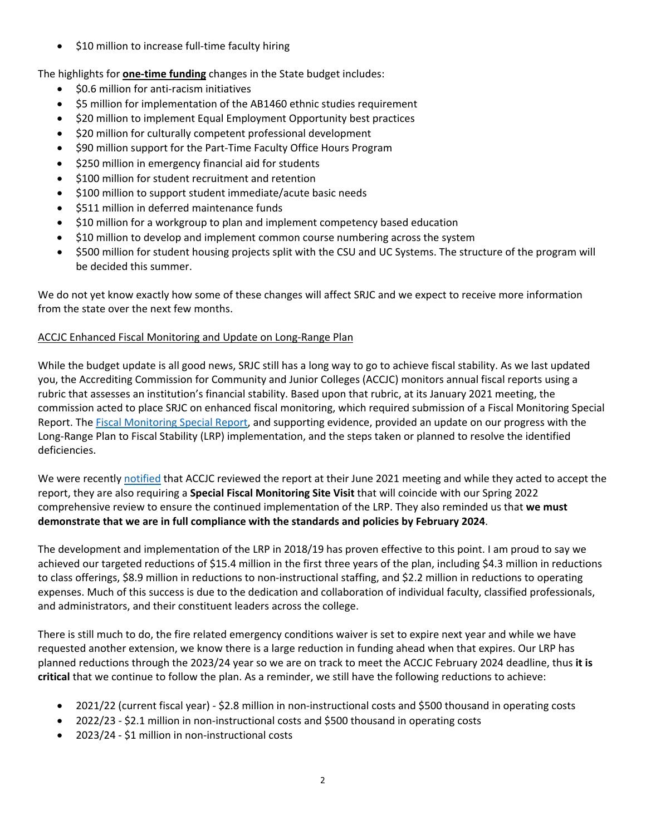● \$10 million to increase full-time faculty hiring

The highlights for **one‐time funding** changes in the State budget includes:

- \$0.6 million for anti‐racism initiatives
- \$5 million for implementation of the AB1460 ethnic studies requirement
- \$20 million to implement Equal Employment Opportunity best practices
- \$20 million for culturally competent professional development
- \$90 million support for the Part‐Time Faculty Office Hours Program
- \$250 million in emergency financial aid for students
- \$100 million for student recruitment and retention
- \$100 million to support student immediate/acute basic needs
- \$511 million in deferred maintenance funds
- \$10 million for a workgroup to plan and implement competency based education
- \$10 million to develop and implement common course numbering across the system
- \$500 million for student housing projects split with the CSU and UC Systems. The structure of the program will be decided this summer.

We do not yet know exactly how some of these changes will affect SRJC and we expect to receive more information from the state over the next few months.

## ACCJC Enhanced Fiscal Monitoring and Update on Long‐Range Plan

While the budget update is all good news, SRJC still has a long way to go to achieve fiscal stability. As we last updated you, the Accrediting Commission for Community and Junior Colleges (ACCJC) monitors annual fiscal reports using a rubric that assesses an institution's financial stability. Based upon that rubric, at its January 2021 meeting, the commission acted to place SRJC on enhanced fiscal monitoring, which required submission of a Fiscal Monitoring Special Report. The Fiscal Monitoring Special Report, and supporting evidence, provided an update on our progress with the Long‐Range Plan to Fiscal Stability (LRP) implementation, and the steps taken or planned to resolve the identified deficiencies.

We were recently notified that ACCJC reviewed the report at their June 2021 meeting and while they acted to accept the report, they are also requiring a **Special Fiscal Monitoring Site Visit** that will coincide with our Spring 2022 comprehensive review to ensure the continued implementation of the LRP. They also reminded us that **we must demonstrate that we are in full compliance with the standards and policies by February 2024**.

The development and implementation of the LRP in 2018/19 has proven effective to this point. I am proud to say we achieved our targeted reductions of \$15.4 million in the first three years of the plan, including \$4.3 million in reductions to class offerings, \$8.9 million in reductions to non-instructional staffing, and \$2.2 million in reductions to operating expenses. Much of this success is due to the dedication and collaboration of individual faculty, classified professionals, and administrators, and their constituent leaders across the college.

There is still much to do, the fire related emergency conditions waiver is set to expire next year and while we have requested another extension, we know there is a large reduction in funding ahead when that expires. Our LRP has planned reductions through the 2023/24 year so we are on track to meet the ACCJC February 2024 deadline, thus **it is critical** that we continue to follow the plan. As a reminder, we still have the following reductions to achieve:

- 2021/22 (current fiscal year) ‐ \$2.8 million in non‐instructional costs and \$500 thousand in operating costs
- 2022/23 \$2.1 million in non-instructional costs and \$500 thousand in operating costs
- 2023/24 \$1 million in non-instructional costs